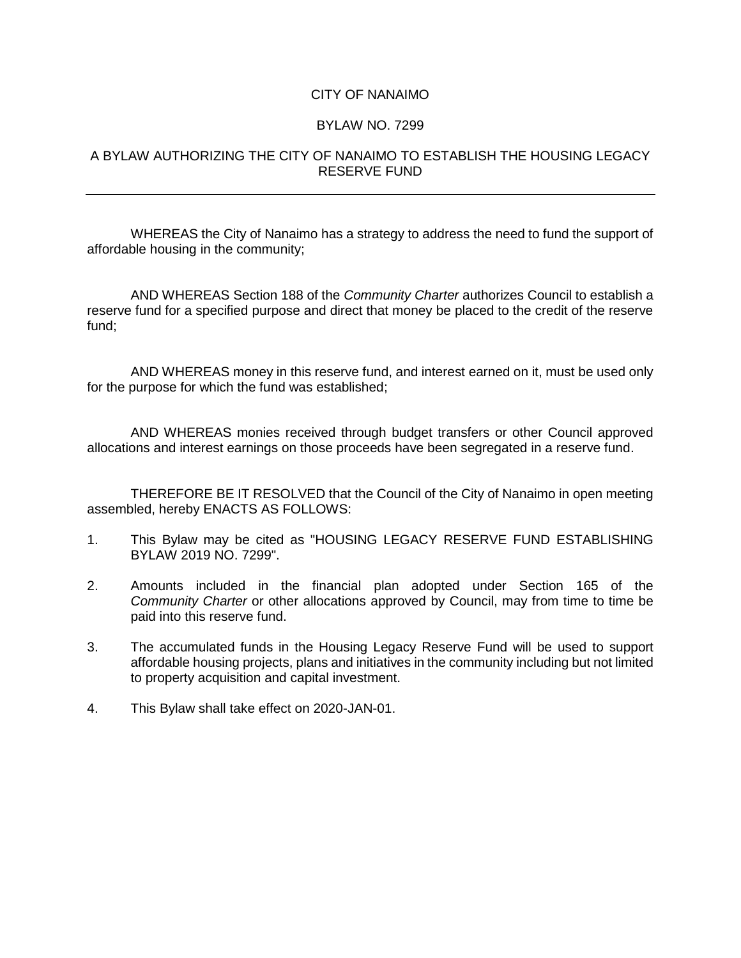## CITY OF NANAIMO

## BYLAW NO. 7299

## A BYLAW AUTHORIZING THE CITY OF NANAIMO TO ESTABLISH THE HOUSING LEGACY RESERVE FUND

WHEREAS the City of Nanaimo has a strategy to address the need to fund the support of affordable housing in the community;

AND WHEREAS Section 188 of the *Community Charter* authorizes Council to establish a reserve fund for a specified purpose and direct that money be placed to the credit of the reserve fund;

AND WHEREAS money in this reserve fund, and interest earned on it, must be used only for the purpose for which the fund was established;

AND WHEREAS monies received through budget transfers or other Council approved allocations and interest earnings on those proceeds have been segregated in a reserve fund.

THEREFORE BE IT RESOLVED that the Council of the City of Nanaimo in open meeting assembled, hereby ENACTS AS FOLLOWS:

- 1. This Bylaw may be cited as "HOUSING LEGACY RESERVE FUND ESTABLISHING BYLAW 2019 NO. 7299".
- 2. Amounts included in the financial plan adopted under Section 165 of the *Community Charter* or other allocations approved by Council, may from time to time be paid into this reserve fund.
- 3. The accumulated funds in the Housing Legacy Reserve Fund will be used to support affordable housing projects, plans and initiatives in the community including but not limited to property acquisition and capital investment.
- 4. This Bylaw shall take effect on 2020-JAN-01.